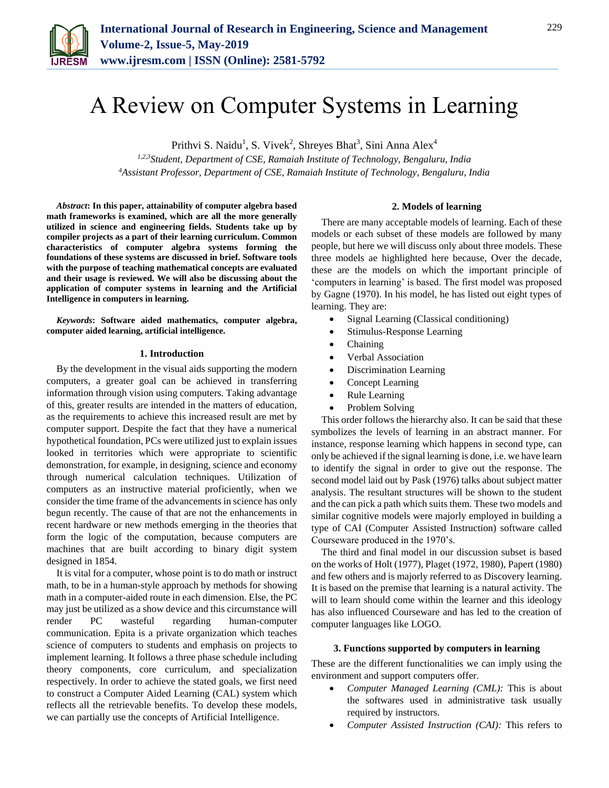

# A Review on Computer Systems in Learning

Prithvi S. Naidu<sup>1</sup>, S. Vivek<sup>2</sup>, Shreyes Bhat<sup>3</sup>, Sini Anna Alex<sup>4</sup>

*1,2,3Student, Department of CSE, Ramaiah Institute of Technology, Bengaluru, India 4Assistant Professor, Department of CSE, Ramaiah Institute of Technology, Bengaluru, India*

*Abstract***: In this paper, attainability of computer algebra based math frameworks is examined, which are all the more generally utilized in science and engineering fields. Students take up by compiler projects as a part of their learning curriculum. Common characteristics of computer algebra systems forming the foundations of these systems are discussed in brief. Software tools with the purpose of teaching mathematical concepts are evaluated and their usage is reviewed. We will also be discussing about the application of computer systems in learning and the Artificial Intelligence in computers in learning.**

*Keywords***: Software aided mathematics, computer algebra, computer aided learning, artificial intelligence.**

## **1. Introduction**

By the development in the visual aids supporting the modern computers, a greater goal can be achieved in transferring information through vision using computers. Taking advantage of this, greater results are intended in the matters of education, as the requirements to achieve this increased result are met by computer support. Despite the fact that they have a numerical hypothetical foundation, PCs were utilized just to explain issues looked in territories which were appropriate to scientific demonstration, for example, in designing, science and economy through numerical calculation techniques. Utilization of computers as an instructive material proficiently, when we consider the time frame of the advancements in science has only begun recently. The cause of that are not the enhancements in recent hardware or new methods emerging in the theories that form the logic of the computation, because computers are machines that are built according to binary digit system designed in 1854.

It is vital for a computer, whose point is to do math or instruct math, to be in a human-style approach by methods for showing math in a computer-aided route in each dimension. Else, the PC may just be utilized as a show device and this circumstance will render PC wasteful regarding human-computer communication. Epita is a private organization which teaches science of computers to students and emphasis on projects to implement learning. It follows a three phase schedule including theory components, core curriculum, and specialization respectively. In order to achieve the stated goals, we first need to construct a Computer Aided Learning (CAL) system which reflects all the retrievable benefits. To develop these models, we can partially use the concepts of Artificial Intelligence.

## **2. Models of learning**

There are many acceptable models of learning. Each of these models or each subset of these models are followed by many people, but here we will discuss only about three models. These three models ae highlighted here because, Over the decade, these are the models on which the important principle of 'computers in learning' is based. The first model was proposed by Gagne (1970). In his model, he has listed out eight types of learning. They are:

- Signal Learning (Classical conditioning)
- Stimulus-Response Learning
- Chaining
- Verbal Association
- Discrimination Learning
- Concept Learning
- Rule Learning
- Problem Solving

This order follows the hierarchy also. It can be said that these symbolizes the levels of learning in an abstract manner. For instance, response learning which happens in second type, can only be achieved if the signal learning is done, i.e. we have learn to identify the signal in order to give out the response. The second model laid out by Pask (1976) talks about subject matter analysis. The resultant structures will be shown to the student and the can pick a path which suits them. These two models and similar cognitive models were majorly employed in building a type of CAI (Computer Assisted Instruction) software called Courseware produced in the 1970's.

The third and final model in our discussion subset is based on the works of Holt (1977), Plaget (1972, 1980), Papert (1980) and few others and is majorly referred to as Discovery learning. It is based on the premise that learning is a natural activity. The will to learn should come within the learner and this ideology has also influenced Courseware and has led to the creation of computer languages like LOGO.

### **3. Functions supported by computers in learning**

These are the different functionalities we can imply using the environment and support computers offer.

- *Computer Managed Learning (CML):* This is about the softwares used in administrative task usually required by instructors.
- *Computer Assisted Instruction (CAI):* This refers to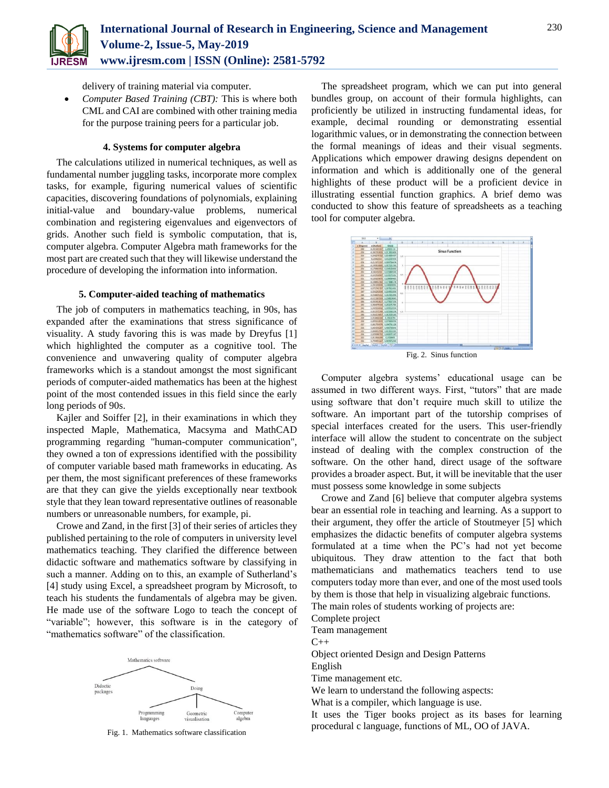

delivery of training material via computer.

 *Computer Based Training (CBT):* This is where both CML and CAI are combined with other training media for the purpose training peers for a particular job.

# **4. Systems for computer algebra**

The calculations utilized in numerical techniques, as well as fundamental number juggling tasks, incorporate more complex tasks, for example, figuring numerical values of scientific capacities, discovering foundations of polynomials, explaining initial-value and boundary-value problems, numerical combination and registering eigenvalues and eigenvectors of grids. Another such field is symbolic computation, that is, computer algebra. Computer Algebra math frameworks for the most part are created such that they will likewise understand the procedure of developing the information into information.

# **5. Computer-aided teaching of mathematics**

The job of computers in mathematics teaching, in 90s, has expanded after the examinations that stress significance of visuality. A study favoring this is was made by Dreyfus [1] which highlighted the computer as a cognitive tool. The convenience and unwavering quality of computer algebra frameworks which is a standout amongst the most significant periods of computer-aided mathematics has been at the highest point of the most contended issues in this field since the early long periods of 90s.

Kajler and Soiffer [2], in their examinations in which they inspected Maple, Mathematica, Macsyma and MathCAD programming regarding "human-computer communication", they owned a ton of expressions identified with the possibility of computer variable based math frameworks in educating. As per them, the most significant preferences of these frameworks are that they can give the yields exceptionally near textbook style that they lean toward representative outlines of reasonable numbers or unreasonable numbers, for example, pi.

Crowe and Zand, in the first [3] of their series of articles they published pertaining to the role of computers in university level mathematics teaching. They clarified the difference between didactic software and mathematics software by classifying in such a manner. Adding on to this, an example of Sutherland's [4] study using Excel, a spreadsheet program by Microsoft, to teach his students the fundamentals of algebra may be given. He made use of the software Logo to teach the concept of "variable"; however, this software is in the category of "mathematics software" of the classification.



Fig. 1. Mathematics software classification

The spreadsheet program, which we can put into general bundles group, on account of their formula highlights, can proficiently be utilized in instructing fundamental ideas, for example, decimal rounding or demonstrating essential logarithmic values, or in demonstrating the connection between the formal meanings of ideas and their visual segments. Applications which empower drawing designs dependent on information and which is additionally one of the general highlights of these product will be a proficient device in illustrating essential function graphics. A brief demo was conducted to show this feature of spreadsheets as a teaching tool for computer algebra.



Computer algebra systems' educational usage can be assumed in two different ways. First, "tutors" that are made using software that don't require much skill to utilize the software. An important part of the tutorship comprises of special interfaces created for the users. This user-friendly interface will allow the student to concentrate on the subject instead of dealing with the complex construction of the software. On the other hand, direct usage of the software provides a broader aspect. But, it will be inevitable that the user

Crowe and Zand [6] believe that computer algebra systems bear an essential role in teaching and learning. As a support to their argument, they offer the article of Stoutmeyer [5] which emphasizes the didactic benefits of computer algebra systems formulated at a time when the PC's had not yet become ubiquitous. They draw attention to the fact that both mathematicians and mathematics teachers tend to use computers today more than ever, and one of the most used tools by them is those that help in visualizing algebraic functions. The main roles of students working of projects are:

Complete project

Team management

 $C_{++}$ 

Object oriented Design and Design Patterns

must possess some knowledge in some subjects

English

Time management etc.

We learn to understand the following aspects:

What is a compiler, which language is use.

It uses the Tiger books project as its bases for learning procedural c language, functions of ML, OO of JAVA.